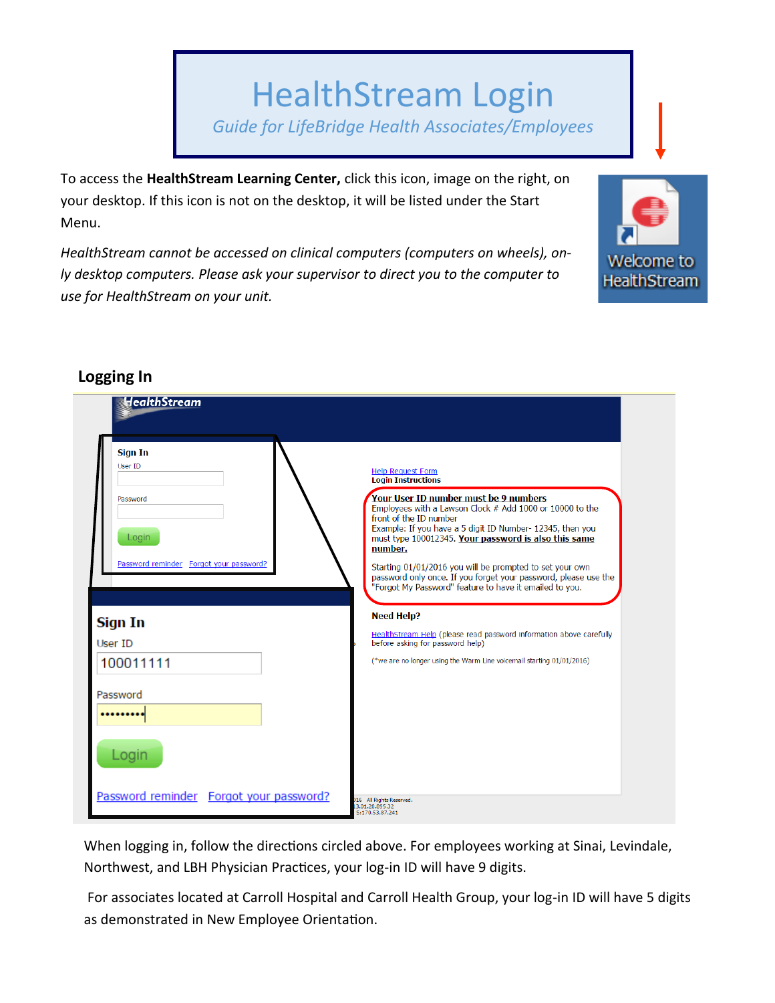# HealthStream Login *Guide for LifeBridge Health Associates/Employees*

To access the **HealthStream Learning Center,** click this icon, image on the right, on your desktop. If this icon is not on the desktop, it will be listed under the Start Menu.

*HealthStream cannot be accessed on clinical computers (computers on wheels), only desktop computers. Please ask your supervisor to direct you to the computer to use for HealthStream on your unit.* 



| LUBBIIIB III                                                                                     |                                                                                                                                                                                                                                                                                                                                                                                                                                                                                                                |
|--------------------------------------------------------------------------------------------------|----------------------------------------------------------------------------------------------------------------------------------------------------------------------------------------------------------------------------------------------------------------------------------------------------------------------------------------------------------------------------------------------------------------------------------------------------------------------------------------------------------------|
| HealthStream                                                                                     |                                                                                                                                                                                                                                                                                                                                                                                                                                                                                                                |
| <b>Sign In</b><br><b>User ID</b><br>Password<br>Login<br>Password reminder Forgot your password? | <b>Help Request Form</b><br><b>Login Instructions</b><br>Your User ID number must be 9 numbers<br>Employees with a Lawson Clock # Add 1000 or 10000 to the<br>front of the ID number<br>Example: If you have a 5 digit ID Number- 12345, then you<br>must type 100012345. Your password is also this same<br>number.<br>Starting 01/01/2016 you will be prompted to set your own<br>password only once. If you forget your password, please use the<br>"Forgot My Password" feature to have it emailed to you. |
| Sign In<br>User ID<br>100011111                                                                  | <b>Need Help?</b><br>HealthStream Help (please read password information above carefully<br>before asking for password help)<br>(*we are no longer using the Warm Line voicemail starting 01/01/2016)                                                                                                                                                                                                                                                                                                          |
| Password                                                                                         |                                                                                                                                                                                                                                                                                                                                                                                                                                                                                                                |
| Login<br>Password reminder Forgot your password?                                                 | 16 All Rights Reserved.<br>3.01.28.895.32<br>S:170.53.87.241                                                                                                                                                                                                                                                                                                                                                                                                                                                   |

## **Logging In**

When logging in, follow the directions circled above. For employees working at Sinai, Levindale, Northwest, and LBH Physician Practices, your log-in ID will have 9 digits.

For associates located at Carroll Hospital and Carroll Health Group, your log-in ID will have 5 digits as demonstrated in New Employee Orientation.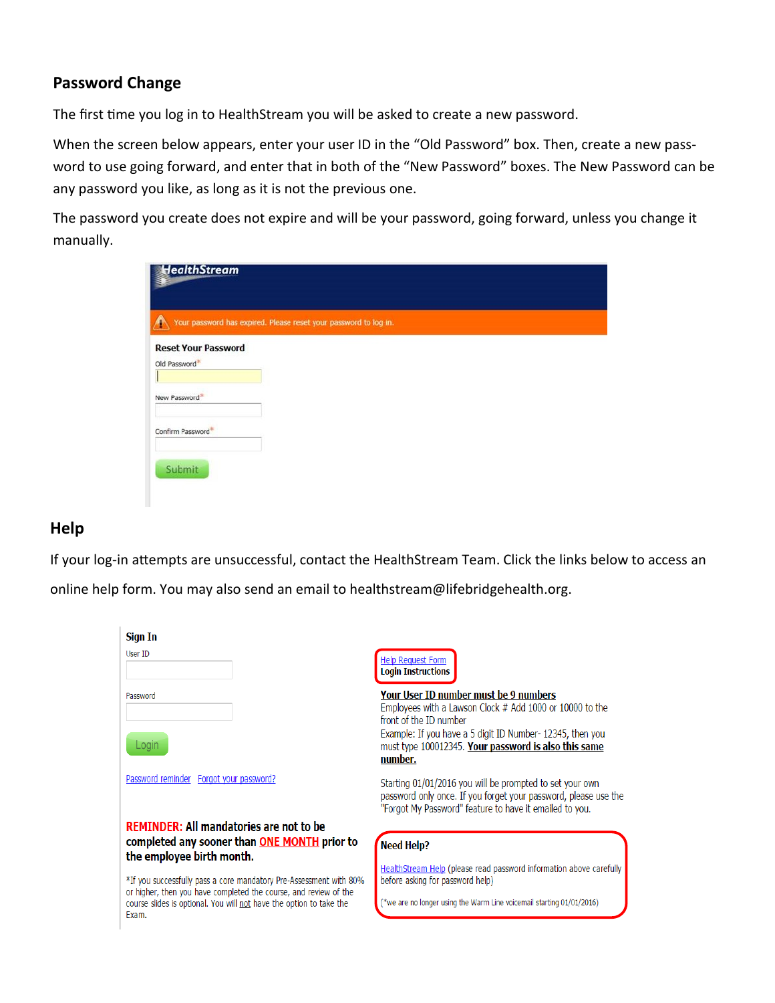#### **Password Change**

The first time you log in to HealthStream you will be asked to create a new password.

When the screen below appears, enter your user ID in the "Old Password" box. Then, create a new password to use going forward, and enter that in both of the "New Password" boxes. The New Password can be any password you like, as long as it is not the previous one.

The password you create does not expire and will be your password, going forward, unless you change it manually.

| HealthStream<br>3                                                |  |  |
|------------------------------------------------------------------|--|--|
| Your password has expired. Please reset your password to log in. |  |  |
| <b>Reset Your Password</b>                                       |  |  |
| Old Password                                                     |  |  |
|                                                                  |  |  |
| New Password                                                     |  |  |
|                                                                  |  |  |
| Confirm Password*                                                |  |  |
|                                                                  |  |  |
| Submit                                                           |  |  |
|                                                                  |  |  |
|                                                                  |  |  |

### **Help**

If your log-in attempts are unsuccessful, contact the HealthStream Team. Click the links below to access an

online help form. You may also send an email to healthstream@lifebridgehealth.org.

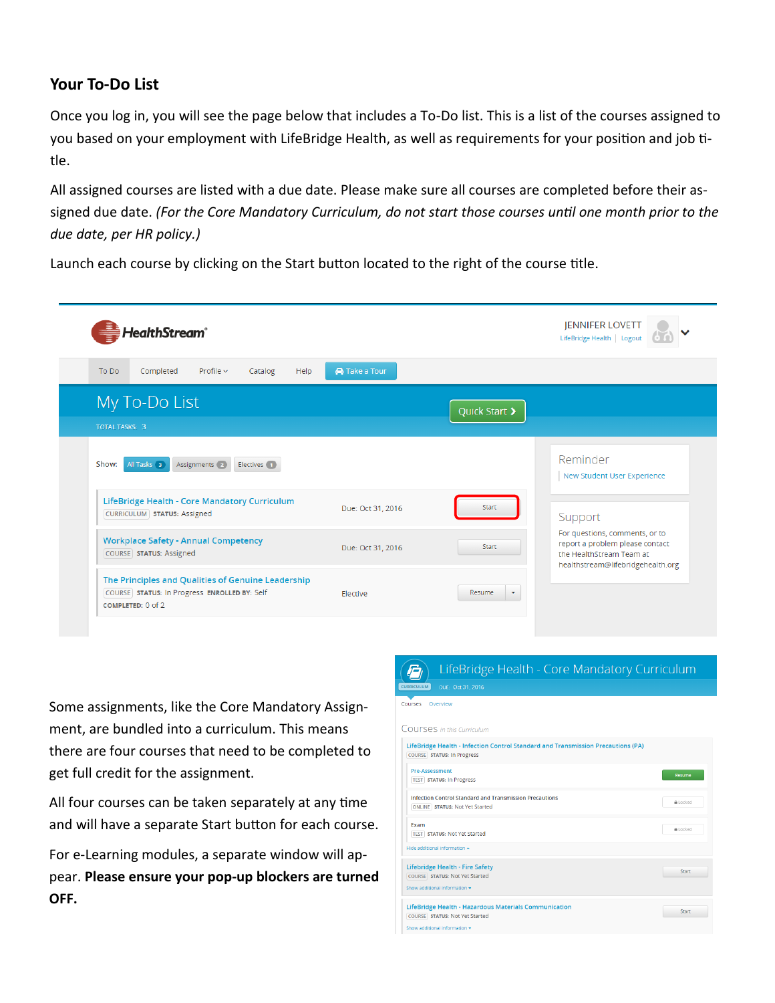#### **Your To-Do List**

Once you log in, you will see the page below that includes a To-Do list. This is a list of the courses assigned to you based on your employment with LifeBridge Health, as well as requirements for your position and job title.

All assigned courses are listed with a due date. Please make sure all courses are completed before their assigned due date. *(For the Core Mandatory Curriculum, do not start those courses until one month prior to the due date, per HR policy.)*

Launch each course by clicking on the Start button located to the right of the course title.

| HealthStream <sup>®</sup>                                                                                               |                      |                                   | <b>JENNIFER LOVETT</b><br>LifeBridge Health   Logout                                                                                          |
|-------------------------------------------------------------------------------------------------------------------------|----------------------|-----------------------------------|-----------------------------------------------------------------------------------------------------------------------------------------------|
| Profile $\sim$<br>Help<br>Completed<br>Catalog<br>To Do                                                                 | <b>A</b> Take a Tour |                                   |                                                                                                                                               |
| My To-Do List<br><b>TOTAL TASKS: 3</b>                                                                                  |                      | Quick Start >                     |                                                                                                                                               |
| All Tasks 3<br>Show:<br>Assignments 2<br>Electives 1                                                                    |                      |                                   | Reminder<br>New Student User Experience                                                                                                       |
| LifeBridge Health - Core Mandatory Curriculum<br><b>CURRICULUM</b> STATUS: Assigned                                     | Due: Oct 31, 2016    | Start                             | Support<br>For questions, comments, or to<br>report a problem please contact<br>the HealthStream Team at<br>healthstream@lifebridgehealth.org |
| <b>Workplace Safety - Annual Competency</b><br>COURSE STATUS: Assigned                                                  | Due: Oct 31, 2016    | <b>Start</b>                      |                                                                                                                                               |
| The Principles and Qualities of Genuine Leadership<br>COURSE STATUS: In Progress ENROLLED BY: Self<br>COMPLETED: 0 of 2 | Elective             | Resume<br>$\overline{\mathbf{v}}$ |                                                                                                                                               |

Some assignments, like the Core Mandatory Assignment, are bundled into a curriculum. This means there are four courses that need to be completed to get full credit for the assignment.

All four courses can be taken separately at any time and will have a separate Start button for each course.

For e-Learning modules, a separate window will appear. **Please ensure your pop-up blockers are turned OFF.** 

#### LifeBridge Health - Core Mandatory Curriculum  $\vec{P}$  $\overline{U}$  DUE: Oct 31, 2016 CURRI Courses Overview Courses in this Curriculum LifeBridge Health - Infection Control Standard and Transmission Precautions (PA) COURSE STATUS: In Progress Pre-Assessment TEST STATUS: In Progress Infection Control Standard and Transmission Precautions A Locked ONLINE STATUS: Not Yet Started Exam A Locked **TEST** STATUS: Not Yet Started Lifebridge Health - Fire Safety Start COURSE STATUS: Not Yet Started LifeBridge Health - Hazardous Materials Communication Start COURSE STATUS: Not Yet Started how additional inform